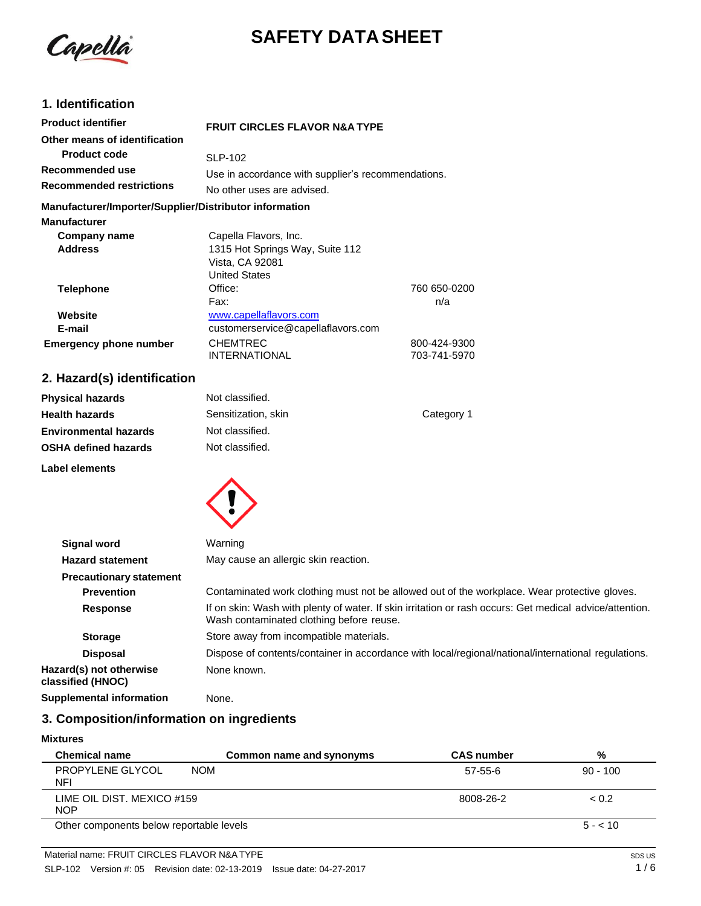

# **SAFETY DATA SHEET**

## **1. Identification**

| <b>Product identifier</b>                              | <b>FRUIT CIRCLES FLAVOR N&amp;A TYPE</b>           |              |
|--------------------------------------------------------|----------------------------------------------------|--------------|
| Other means of identification                          |                                                    |              |
| <b>Product code</b>                                    | <b>SLP-102</b>                                     |              |
| Recommended use                                        | Use in accordance with supplier's recommendations. |              |
| <b>Recommended restrictions</b>                        | No other uses are advised.                         |              |
| Manufacturer/Importer/Supplier/Distributor information |                                                    |              |
| <b>Manufacturer</b>                                    |                                                    |              |
| Company name                                           | Capella Flavors, Inc.                              |              |
| <b>Address</b>                                         | 1315 Hot Springs Way, Suite 112                    |              |
|                                                        | Vista, CA 92081                                    |              |
|                                                        | <b>United States</b>                               |              |
| <b>Telephone</b>                                       | Office:                                            | 760 650-0200 |
|                                                        | Fax:                                               | n/a          |
| Website                                                | www.capellaflavors.com                             |              |
| E-mail                                                 | customerservice@capellaflavors.com                 |              |
| <b>Emergency phone number</b>                          | <b>CHEMTREC</b>                                    | 800-424-9300 |
|                                                        | <b>INTERNATIONAL</b>                               | 703-741-5970 |
|                                                        |                                                    |              |

## **2. Hazard(s) identification**

| <b>Physical hazards</b>      | Not classified.     |            |
|------------------------------|---------------------|------------|
| <b>Health hazards</b>        | Sensitization, skin | Category 1 |
| <b>Environmental hazards</b> | Not classified.     |            |
| <b>OSHA defined hazards</b>  | Not classified.     |            |
| Label elements               |                     |            |



| Warning                                                                                                                                             |
|-----------------------------------------------------------------------------------------------------------------------------------------------------|
| May cause an allergic skin reaction.                                                                                                                |
|                                                                                                                                                     |
| Contaminated work clothing must not be allowed out of the workplace. Wear protective gloves.                                                        |
| If on skin: Wash with plenty of water. If skin irritation or rash occurs: Get medical advice/attention.<br>Wash contaminated clothing before reuse. |
| Store away from incompatible materials.                                                                                                             |
| Dispose of contents/container in accordance with local/regional/national/international regulations.                                                 |
| None known.                                                                                                                                         |
| None.                                                                                                                                               |
|                                                                                                                                                     |

## **3. Composition/information on ingredients**

#### **Mixtures**

| <b>Chemical name</b>                     | Common name and synonyms | <b>CAS number</b> | %          |
|------------------------------------------|--------------------------|-------------------|------------|
| PROPYLENE GLYCOL<br><b>NOM</b><br>NFI    |                          | 57-55-6           | $90 - 100$ |
| LIME OIL DIST. MEXICO #159<br><b>NOP</b> |                          | 8008-26-2         | < 0.2      |
| Other components below reportable levels |                          |                   | $5 - 10$   |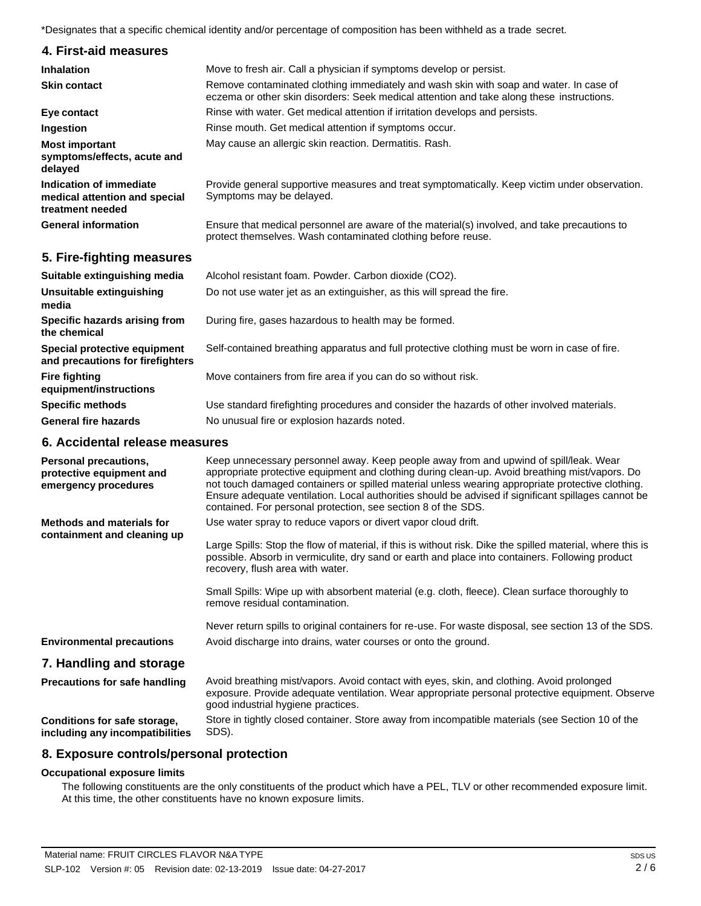\*Designates that a specific chemical identity and/or percentage of composition has been withheld as a trade secret.

| 4. First-aid measures                                                        |                                                                                                                                                                                     |
|------------------------------------------------------------------------------|-------------------------------------------------------------------------------------------------------------------------------------------------------------------------------------|
| <b>Inhalation</b>                                                            | Move to fresh air. Call a physician if symptoms develop or persist.                                                                                                                 |
| <b>Skin contact</b>                                                          | Remove contaminated clothing immediately and wash skin with soap and water. In case of<br>eczema or other skin disorders: Seek medical attention and take along these instructions. |
| Eye contact                                                                  | Rinse with water. Get medical attention if irritation develops and persists.                                                                                                        |
| Ingestion                                                                    | Rinse mouth. Get medical attention if symptoms occur.                                                                                                                               |
| <b>Most important</b><br>symptoms/effects, acute and<br>delayed              | May cause an allergic skin reaction. Dermatitis. Rash.                                                                                                                              |
| Indication of immediate<br>medical attention and special<br>treatment needed | Provide general supportive measures and treat symptomatically. Keep victim under observation.<br>Symptoms may be delayed.                                                           |
| <b>General information</b>                                                   | Ensure that medical personnel are aware of the material(s) involved, and take precautions to<br>protect themselves. Wash contaminated clothing before reuse.                        |

### **5. Fire-fighting measures**

| Suitable extinguishing media                                     | Alcohol resistant foam. Powder. Carbon dioxide (CO2).                                         |
|------------------------------------------------------------------|-----------------------------------------------------------------------------------------------|
| Unsuitable extinguishing<br>media                                | Do not use water jet as an extinguisher, as this will spread the fire.                        |
| Specific hazards arising from<br>the chemical                    | During fire, gases hazardous to health may be formed.                                         |
| Special protective equipment<br>and precautions for firefighters | Self-contained breathing apparatus and full protective clothing must be worn in case of fire. |
| <b>Fire fighting</b><br>equipment/instructions                   | Move containers from fire area if you can do so without risk.                                 |
| <b>Specific methods</b>                                          | Use standard firefighting procedures and consider the hazards of other involved materials.    |
| <b>General fire hazards</b>                                      | No unusual fire or explosion hazards noted.                                                   |

## **6. Accidental release measures**

| Personal precautions,<br>protective equipment and<br>emergency procedures | Keep unnecessary personnel away. Keep people away from and upwind of spill/leak. Wear<br>appropriate protective equipment and clothing during clean-up. Avoid breathing mist/vapors. Do<br>not touch damaged containers or spilled material unless wearing appropriate protective clothing.<br>Ensure adequate ventilation. Local authorities should be advised if significant spillages cannot be<br>contained. For personal protection, see section 8 of the SDS. |
|---------------------------------------------------------------------------|---------------------------------------------------------------------------------------------------------------------------------------------------------------------------------------------------------------------------------------------------------------------------------------------------------------------------------------------------------------------------------------------------------------------------------------------------------------------|
| <b>Methods and materials for</b><br>containment and cleaning up           | Use water spray to reduce vapors or divert vapor cloud drift.<br>Large Spills: Stop the flow of material, if this is without risk. Dike the spilled material, where this is<br>possible. Absorb in vermiculite, dry sand or earth and place into containers. Following product<br>recovery, flush area with water.                                                                                                                                                  |
|                                                                           | Small Spills: Wipe up with absorbent material (e.g. cloth, fleece). Clean surface thoroughly to<br>remove residual contamination.                                                                                                                                                                                                                                                                                                                                   |
|                                                                           | Never return spills to original containers for re-use. For waste disposal, see section 13 of the SDS.                                                                                                                                                                                                                                                                                                                                                               |
| <b>Environmental precautions</b>                                          | Avoid discharge into drains, water courses or onto the ground.                                                                                                                                                                                                                                                                                                                                                                                                      |
| 7. Handling and storage                                                   |                                                                                                                                                                                                                                                                                                                                                                                                                                                                     |
| <b>Precautions for safe handling</b>                                      | Avoid breathing mist/vapors. Avoid contact with eyes, skin, and clothing. Avoid prolonged<br>exposure. Provide adequate ventilation. Wear appropriate personal protective equipment. Observe<br>good industrial hygiene practices.                                                                                                                                                                                                                                  |
| Conditions for safe storage,<br>including any incompatibilities           | Store in tightly closed container. Store away from incompatible materials (see Section 10 of the<br>SDS).                                                                                                                                                                                                                                                                                                                                                           |

#### **8. Exposure controls/personal protection**

#### **Occupational exposure limits**

The following constituents are the only constituents of the product which have a PEL, TLV or other recommended exposure limit. At this time, the other constituents have no known exposure limits.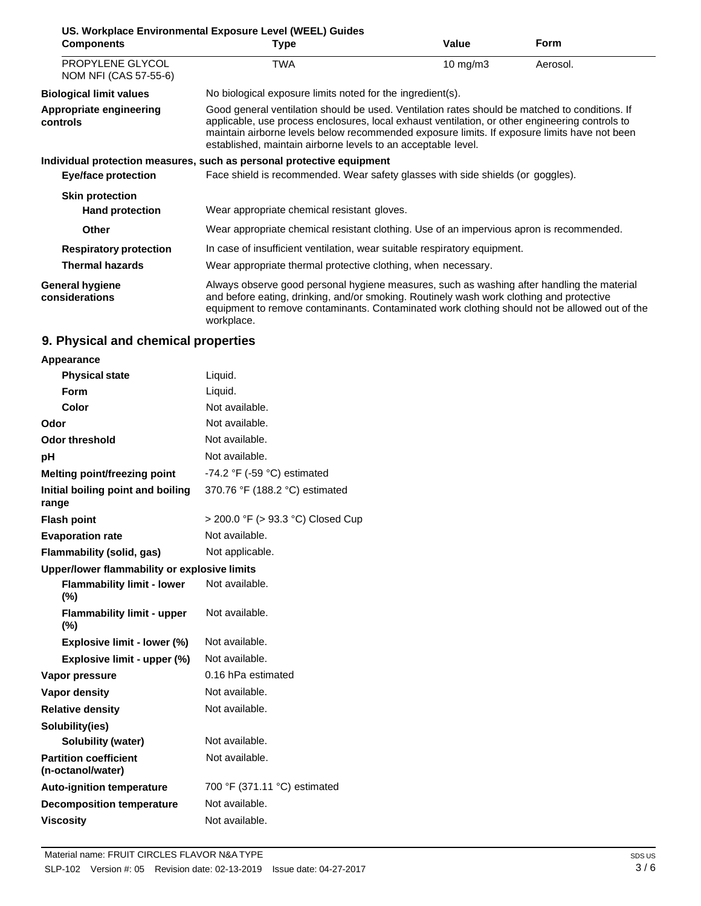|                                           | US. Workplace Environmental Exposure Level (WEEL) Guides                                                                                                                                                                                                                                                                                                           |                   |             |
|-------------------------------------------|--------------------------------------------------------------------------------------------------------------------------------------------------------------------------------------------------------------------------------------------------------------------------------------------------------------------------------------------------------------------|-------------------|-------------|
| <b>Components</b>                         | <b>Type</b>                                                                                                                                                                                                                                                                                                                                                        | Value             | <b>Form</b> |
| PROPYLENE GLYCOL<br>NOM NFI (CAS 57-55-6) | <b>TWA</b>                                                                                                                                                                                                                                                                                                                                                         | $10 \text{ mg/m}$ | Aerosol.    |
| <b>Biological limit values</b>            | No biological exposure limits noted for the ingredient(s).                                                                                                                                                                                                                                                                                                         |                   |             |
| Appropriate engineering<br>controls       | Good general ventilation should be used. Ventilation rates should be matched to conditions. If<br>applicable, use process enclosures, local exhaust ventilation, or other engineering controls to<br>maintain airborne levels below recommended exposure limits. If exposure limits have not been<br>established, maintain airborne levels to an acceptable level. |                   |             |
|                                           | Individual protection measures, such as personal protective equipment                                                                                                                                                                                                                                                                                              |                   |             |
| Eye/face protection                       | Face shield is recommended. Wear safety glasses with side shields (or goggles).                                                                                                                                                                                                                                                                                    |                   |             |
| <b>Skin protection</b>                    |                                                                                                                                                                                                                                                                                                                                                                    |                   |             |
| <b>Hand protection</b>                    | Wear appropriate chemical resistant gloves.                                                                                                                                                                                                                                                                                                                        |                   |             |
| <b>Other</b>                              | Wear appropriate chemical resistant clothing. Use of an impervious apron is recommended.                                                                                                                                                                                                                                                                           |                   |             |
| <b>Respiratory protection</b>             | In case of insufficient ventilation, wear suitable respiratory equipment.                                                                                                                                                                                                                                                                                          |                   |             |
| <b>Thermal hazards</b>                    | Wear appropriate thermal protective clothing, when necessary.                                                                                                                                                                                                                                                                                                      |                   |             |
| General hygiene<br>considerations         | Always observe good personal hygiene measures, such as washing after handling the material<br>and before eating, drinking, and/or smoking. Routinely wash work clothing and protective<br>equipment to remove contaminants. Contaminated work clothing should not be allowed out of the<br>workplace.                                                              |                   |             |

## **9. Physical and chemical properties**

| Appearance                                        |                                               |  |
|---------------------------------------------------|-----------------------------------------------|--|
| <b>Physical state</b>                             | Liquid.                                       |  |
| Form                                              | Liquid.                                       |  |
| Color                                             | Not available.                                |  |
| Odor                                              | Not available.                                |  |
| Odor threshold                                    | Not available.                                |  |
| рH                                                | Not available.                                |  |
| <b>Melting point/freezing point</b>               | -74.2 $\degree$ F (-59 $\degree$ C) estimated |  |
| Initial boiling point and boiling<br>range        | 370.76 °F (188.2 °C) estimated                |  |
| <b>Flash point</b>                                | > 200.0 °F (> 93.3 °C) Closed Cup             |  |
| <b>Evaporation rate</b>                           | Not available.                                |  |
| Flammability (solid, gas)                         | Not applicable.                               |  |
| Upper/lower flammability or explosive limits      |                                               |  |
| <b>Flammability limit - lower</b><br>$(\%)$       | Not available.                                |  |
| <b>Flammability limit - upper</b><br>$(\%)$       | Not available.                                |  |
| Explosive limit - lower (%)                       | Not available.                                |  |
| Explosive limit - upper (%)                       | Not available.                                |  |
| Vapor pressure                                    | 0.16 hPa estimated                            |  |
| <b>Vapor density</b>                              | Not available.                                |  |
| <b>Relative density</b>                           | Not available.                                |  |
| Solubility(ies)                                   |                                               |  |
| Solubility (water)                                | Not available.                                |  |
| <b>Partition coefficient</b><br>(n-octanol/water) | Not available.                                |  |
| <b>Auto-ignition temperature</b>                  | 700 °F (371.11 °C) estimated                  |  |
| <b>Decomposition temperature</b>                  | Not available.                                |  |
| <b>Viscosity</b>                                  | Not available.                                |  |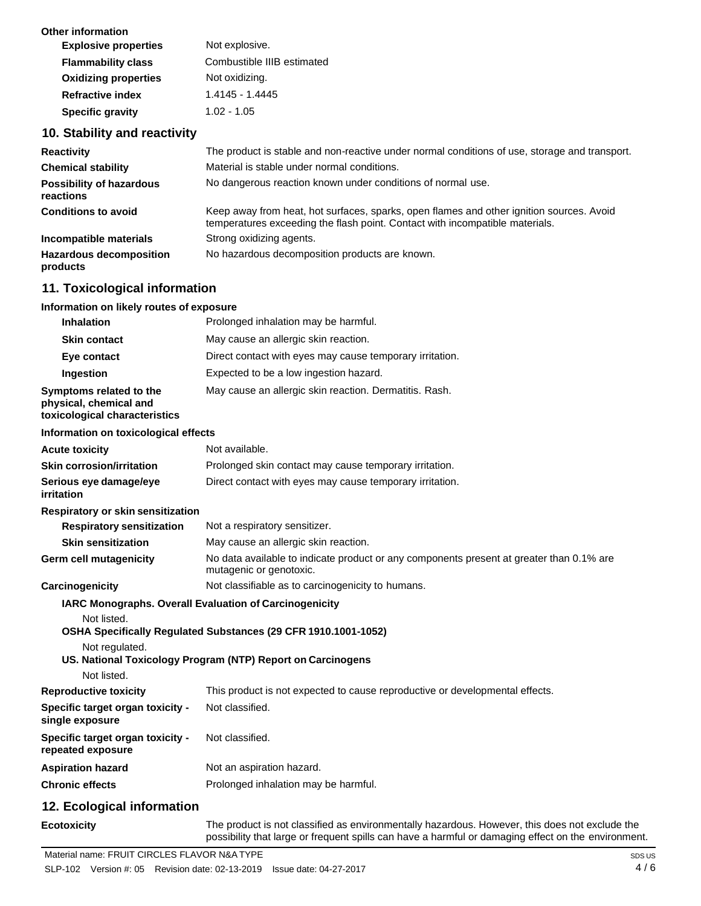| Not explosive.             |
|----------------------------|
| Combustible IIIB estimated |
| Not oxidizing.             |
| 1.4145 - 1.4445            |
| $1.02 - 1.05$              |
|                            |

#### **10. Stability and reactivity**

| <b>Reactivity</b>                          | The product is stable and non-reactive under normal conditions of use, storage and transport.                                                                            |
|--------------------------------------------|--------------------------------------------------------------------------------------------------------------------------------------------------------------------------|
| <b>Chemical stability</b>                  | Material is stable under normal conditions.                                                                                                                              |
| Possibility of hazardous<br>reactions      | No dangerous reaction known under conditions of normal use.                                                                                                              |
| <b>Conditions to avoid</b>                 | Keep away from heat, hot surfaces, sparks, open flames and other ignition sources. Avoid<br>temperatures exceeding the flash point. Contact with incompatible materials. |
| Incompatible materials                     | Strong oxidizing agents.                                                                                                                                                 |
| <b>Hazardous decomposition</b><br>products | No hazardous decomposition products are known.                                                                                                                           |

#### **11. Toxicological information**

#### **Information on likely routes of exposure Inhalation** Prolonged inhalation may be harmful. **Skin contact** May cause an allergic skin reaction. **Eye contact <b>Direct** contact with eyes may cause temporary irritation. **Ingestion** Expected to be a low ingestion hazard. **Symptoms related to the physical, chemical and toxicological characteristics** May cause an allergic skin reaction. Dermatitis. Rash. **Information on toxicological effects Acute toxicity** Not available. **Skin corrosion/irritation Serious eye damage/eye irritation Respiratory or skin sensitization** Prolonged skin contact may cause temporary irritation. Direct contact with eyes may cause temporary irritation. **Respiratory sensitization** Not a respiratory sensitizer. **Skin sensitization Germ cell mutagenicity** May cause an allergic skin reaction. No data available to indicate product or any components present at greater than 0.1% are mutagenic or genotoxic. **Carcinogenicity** Not classifiable as to carcinogenicity to humans. **IARC Monographs. Overall Evaluation of Carcinogenicity** Not listed. **OSHA Specifically Regulated Substances (29 CFR 1910.1001-1052)** Not regulated. **US. National Toxicology Program (NTP) Report on Carcinogens** Not listed. **Reproductive toxicity Specific target organ toxicity single exposure Specific target organ toxicity repeated exposure** This product is not expected to cause reproductive or developmental effects. Not classified. Not classified. **Aspiration hazard** Not an aspiration hazard. **Chronic effects** Prolonged inhalation may be harmful. **12. Ecological information**

**Ecotoxicity** The product is not classified as environmentally hazardous. However, this does not exclude the possibility that large or frequent spills can have a harmful or damaging effect on the environment.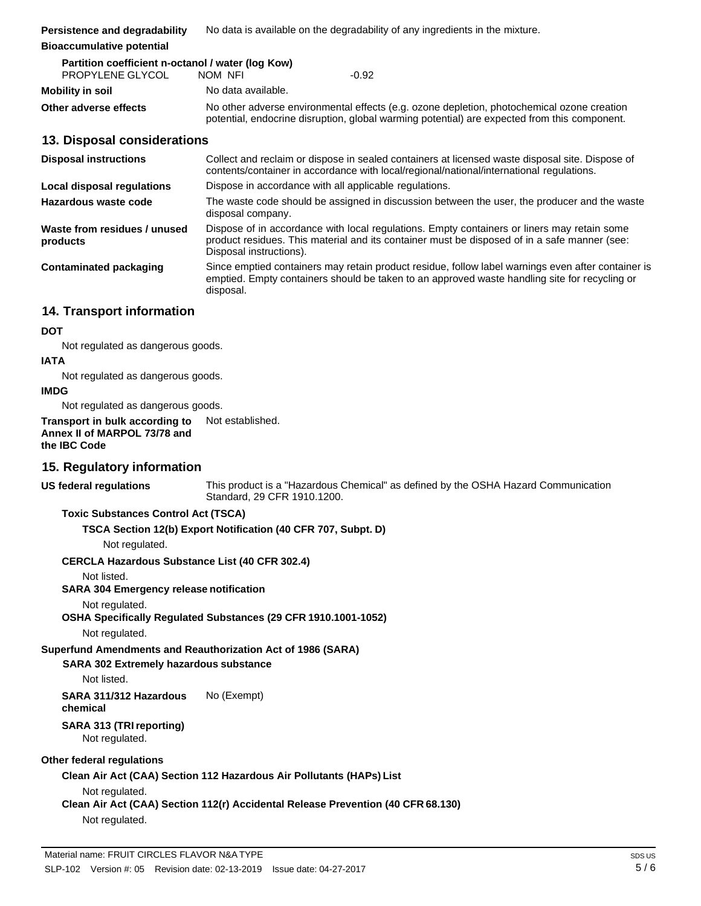**Persistence and degradability**  No data is available on the degradability of any ingredients in the mixture.

#### **Bioaccumulative potential**

| Partition coefficient n-octanol / water (log Kow) |                    |                                                                                                                                                                                            |  |
|---------------------------------------------------|--------------------|--------------------------------------------------------------------------------------------------------------------------------------------------------------------------------------------|--|
| PROPYLENE GLYCOL                                  | NOM NFI            | $-0.92$                                                                                                                                                                                    |  |
| Mobility in soil                                  | No data available. |                                                                                                                                                                                            |  |
| Other adverse effects                             |                    | No other adverse environmental effects (e.g. ozone depletion, photochemical ozone creation<br>potential, endocrine disruption, global warming potential) are expected from this component. |  |

#### **13. Disposal considerations**

| <b>Disposal instructions</b>             | Collect and reclaim or dispose in sealed containers at licensed waste disposal site. Dispose of<br>contents/container in accordance with local/regional/national/international regulations.                            |
|------------------------------------------|------------------------------------------------------------------------------------------------------------------------------------------------------------------------------------------------------------------------|
| Local disposal regulations               | Dispose in accordance with all applicable regulations.                                                                                                                                                                 |
| Hazardous waste code                     | The waste code should be assigned in discussion between the user, the producer and the waste<br>disposal company.                                                                                                      |
| Waste from residues / unused<br>products | Dispose of in accordance with local regulations. Empty containers or liners may retain some<br>product residues. This material and its container must be disposed of in a safe manner (see:<br>Disposal instructions). |
| Contaminated packaging                   | Since emptied containers may retain product residue, follow label warnings even after container is<br>emptied. Empty containers should be taken to an approved waste handling site for recycling or<br>disposal.       |

### **14. Transport information**

#### **DOT**

Not regulated as dangerous goods.

#### **IATA**

Not regulated as dangerous goods.

#### **IMDG**

Not regulated as dangerous goods.

**Transport in bulk according to Annex II of MARPOL 73/78 and the IBC Code** Not established.

### **15. Regulatory information**

**US federal regulations** This product is a "Hazardous Chemical" as defined by the OSHA Hazard Communication Standard, 29 CFR 1910.1200.

#### **Toxic Substances Control Act (TSCA)**

#### **TSCA Section 12(b) Export Notification (40 CFR 707, Subpt. D)**

Not regulated.

#### **CERCLA Hazardous Substance List (40 CFR 302.4)**

Not listed.

#### **SARA 304 Emergency release notification**

#### Not regulated.

**OSHA Specifically Regulated Substances (29 CFR 1910.1001-1052)**

#### Not regulated.

#### **Superfund Amendments and Reauthorization Act of 1986 (SARA)**

#### **SARA 302 Extremely hazardous substance**

Not listed.

**SARA 311/312 Hazardous chemical** No (Exempt)

#### **SARA 313 (TRIreporting)** Not regulated.

## **Other federal regulations**

**Clean Air Act (CAA) Section 112 Hazardous Air Pollutants (HAPs) List**

## Not regulated.

## **Clean Air Act (CAA) Section 112(r) Accidental Release Prevention (40 CFR 68.130)**

Not regulated.